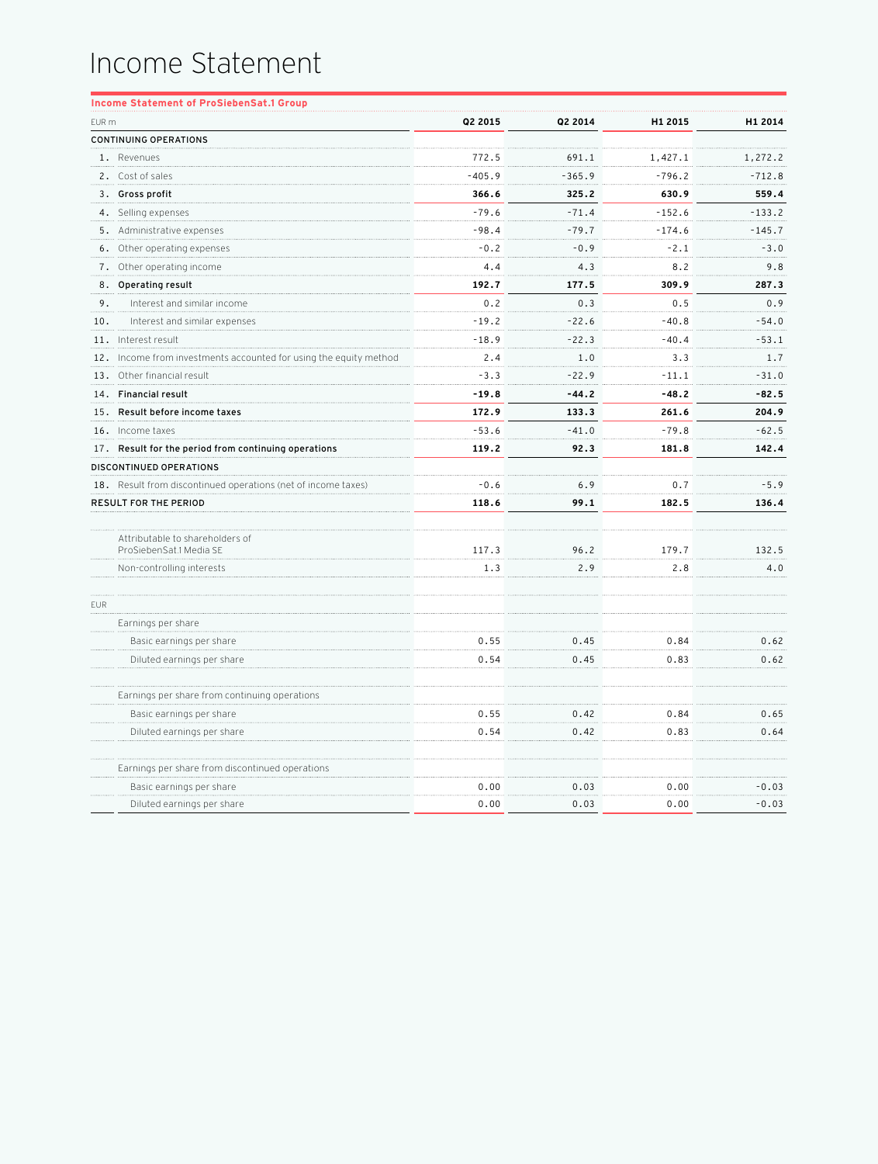## Income Statement

|       | <b>Income Statement of ProSiebenSat.1 Group</b>                   |          |          |          |          |
|-------|-------------------------------------------------------------------|----------|----------|----------|----------|
| EUR m |                                                                   | Q2 2015  | Q2 2014  | H1 2015  | H1 2014  |
|       | <b>CONTINUING OPERATIONS</b>                                      |          |          |          |          |
|       | 1. Revenues                                                       | 772.5    | 691.1    | 1,427.1  | 1,272.2  |
|       | 2. Cost of sales                                                  | $-405.9$ | $-365.9$ | $-796.2$ | $-712.8$ |
|       | 3. Gross profit                                                   | 366.6    | 325.2    | 630.9    | 559.4    |
|       | 4. Selling expenses                                               | $-79.6$  | $-71.4$  | $-152.6$ | $-133.2$ |
|       | 5. Administrative expenses                                        | $-98.4$  | $-79.7$  | $-174.6$ | $-145.7$ |
|       | 6. Other operating expenses                                       | $-0.2$   | $-0.9$   | $-2.1$   | $-3.0$   |
|       | 7. Other operating income                                         | 4.4      | 4.3      | 8.2      | 9.8      |
|       | 8. Operating result                                               | 192.7    | 177.5    | 309.9    | 287.3    |
| 9.    | Interest and similar income                                       | 0.2      | 0.3      | 0.5      | 0.9      |
| 10.   | Interest and similar expenses                                     | $-19.2$  | $-22.6$  | $-40.8$  | $-54.0$  |
|       | 11. Interest result                                               | -18.9    | $-22.3$  | -40.4    | -53.1    |
|       | 12. Income from investments accounted for using the equity method | 2.4      | 1.0      | 3.3      | 1.7      |
|       | 13. Other financial result                                        | $-3.3$   | $-22.9$  | $-11.1$  | $-31.0$  |
|       | 14. Financial result                                              | $-19.8$  | $-44.2$  | $-48.2$  | $-82.5$  |
|       | 15. Result before income taxes                                    | 172.9    | 133.3    | 261.6    | 204.9    |
|       | 16. Income taxes                                                  | $-53.6$  | $-41.0$  | $-79.8$  | $-62.5$  |
|       | 17. Result for the period from continuing operations              | 119.2    | 92.3     | 181.8    | 142.4    |
|       | DISCONTINUED OPERATIONS                                           |          |          |          |          |
|       | 18. Result from discontinued operations (net of income taxes)     | $-0.6$   | 6.9      | 0.7      | $-5.9$   |
|       | <b>RESULT FOR THE PERIOD</b>                                      | 118.6    | 99.1     | 182.5    | 136.4    |
|       |                                                                   |          |          |          |          |
|       | Attributable to shareholders of<br>ProSiebenSat.1 Media SE        | 117.3    | 96.2     | 179.7    | 132.5    |
|       | Non-controlling interests                                         | 1.3      | 2.9      | 2.8      | 4.0      |
|       |                                                                   |          |          |          |          |
| EUR   |                                                                   |          |          |          |          |
|       | Earnings per share                                                |          |          |          |          |
|       | Basic earnings per share                                          | 0.55     | 0.45     | 0.84     | 0.62     |
|       | Diluted earnings per share                                        | 0.54     | 0.45     | 0.83     | 0.62     |
|       | Earnings per share from continuing operations                     |          |          |          |          |
|       | Basic earnings per share                                          | 0.55     | 0.42     | 0.84     | 0.65     |
|       | Diluted earnings per share                                        | 0.54     | 0.42     | 0.83     | 0.64     |
|       | Earnings per share from discontinued operations                   |          |          |          |          |
|       | Basic earnings per share                                          | 0.00     | 0.03     | 0.00     | $-0.03$  |
|       | Diluted earnings per share                                        | 0.00     | 0.03     | 0.00     | $-0.03$  |